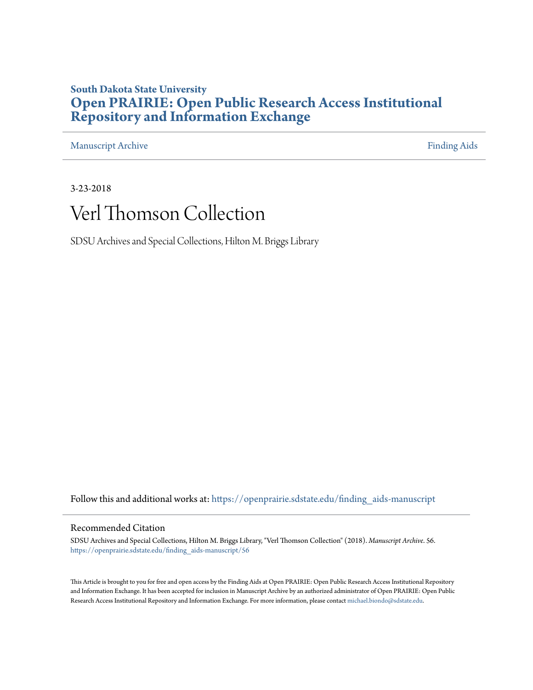### **South Dakota State University [Open PRAIRIE: Open Public Research Access Institutional](https://openprairie.sdstate.edu?utm_source=openprairie.sdstate.edu%2Ffinding_aids-manuscript%2F56&utm_medium=PDF&utm_campaign=PDFCoverPages) [Repository and Information Exchange](https://openprairie.sdstate.edu?utm_source=openprairie.sdstate.edu%2Ffinding_aids-manuscript%2F56&utm_medium=PDF&utm_campaign=PDFCoverPages)**

[Manuscript Archive](https://openprairie.sdstate.edu/finding_aids-manuscript?utm_source=openprairie.sdstate.edu%2Ffinding_aids-manuscript%2F56&utm_medium=PDF&utm_campaign=PDFCoverPages) [Finding Aids](https://openprairie.sdstate.edu/finding_aids?utm_source=openprairie.sdstate.edu%2Ffinding_aids-manuscript%2F56&utm_medium=PDF&utm_campaign=PDFCoverPages)

3-23-2018

## Verl Thomson Collection

SDSU Archives and Special Collections, Hilton M. Briggs Library

Follow this and additional works at: [https://openprairie.sdstate.edu/finding\\_aids-manuscript](https://openprairie.sdstate.edu/finding_aids-manuscript?utm_source=openprairie.sdstate.edu%2Ffinding_aids-manuscript%2F56&utm_medium=PDF&utm_campaign=PDFCoverPages)

#### Recommended Citation

SDSU Archives and Special Collections, Hilton M. Briggs Library, "Verl Thomson Collection" (2018). *Manuscript Archive*. 56. [https://openprairie.sdstate.edu/finding\\_aids-manuscript/56](https://openprairie.sdstate.edu/finding_aids-manuscript/56?utm_source=openprairie.sdstate.edu%2Ffinding_aids-manuscript%2F56&utm_medium=PDF&utm_campaign=PDFCoverPages)

This Article is brought to you for free and open access by the Finding Aids at Open PRAIRIE: Open Public Research Access Institutional Repository and Information Exchange. It has been accepted for inclusion in Manuscript Archive by an authorized administrator of Open PRAIRIE: Open Public Research Access Institutional Repository and Information Exchange. For more information, please contact [michael.biondo@sdstate.edu.](mailto:michael.biondo@sdstate.edu)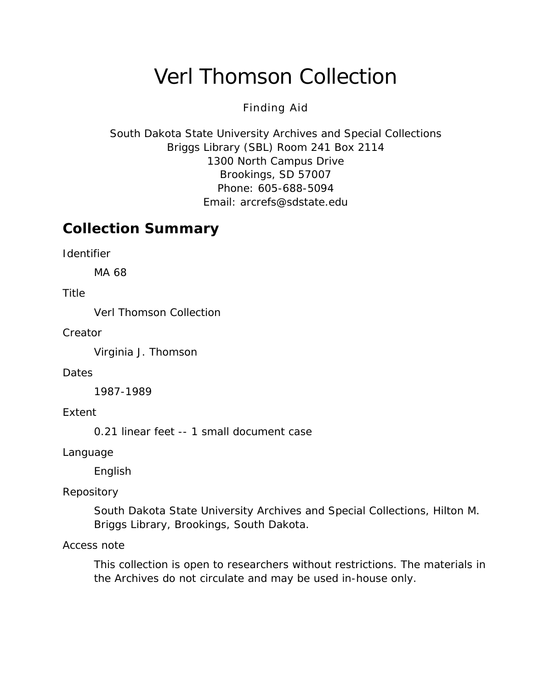# Verl Thomson Collection

#### Finding Aid

South Dakota State University Archives and Special Collections Briggs Library (SBL) Room 241 Box 2114 1300 North Campus Drive Brookings, SD 57007 Phone: 605-688-5094 Email: [arcrefs@sdstate.edu](mailto:arcrefs@sdstate.edu)

### **Collection Summary**

*Identifier*

MA 68

*Title*

Verl Thomson Collection

*Creator*

Virginia J. Thomson

*Dates*

1987-1989

*Extent*

0.21 linear feet -- 1 small document case

*Language*

English

#### *Repository*

South Dakota State University Archives and Special Collections, Hilton M. Briggs Library, Brookings, South Dakota.

#### *Access note*

This collection is open to researchers without restrictions. The materials in the Archives do not circulate and may be used in-house only.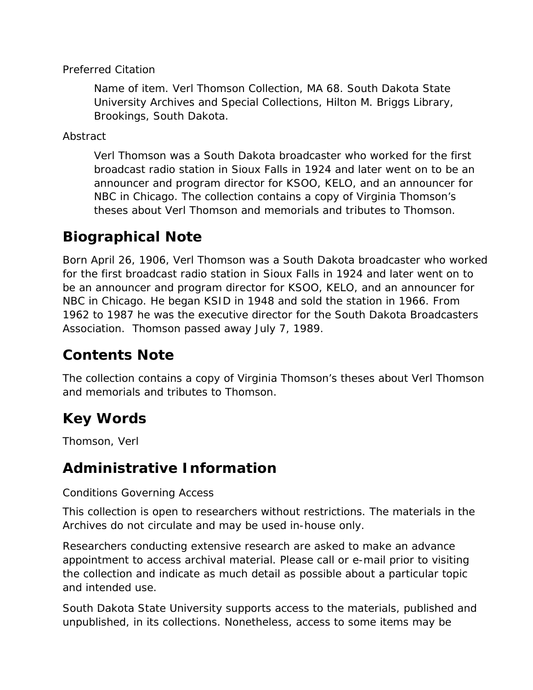#### *Preferred Citation*

*Name of item*. Verl Thomson Collection, MA 68. South Dakota State University Archives and Special Collections, Hilton M. Briggs Library, Brookings, South Dakota.

*Abstract*

Verl Thomson was a South Dakota broadcaster who worked for the first broadcast radio station in Sioux Falls in 1924 and later went on to be an announcer and program director for KSOO, KELO, and an announcer for NBC in Chicago. The collection contains a copy of Virginia Thomson's theses about Verl Thomson and memorials and tributes to Thomson.

### **Biographical Note**

Born April 26, 1906, Verl Thomson was a South Dakota broadcaster who worked for the first broadcast radio station in Sioux Falls in 1924 and later went on to be an announcer and program director for KSOO, KELO, and an announcer for NBC in Chicago. He began KSID in 1948 and sold the station in 1966. From 1962 to 1987 he was the executive director for the South Dakota Broadcasters Association. Thomson passed away July 7, 1989.

### **Contents Note**

The collection contains a copy of Virginia Thomson's theses about Verl Thomson and memorials and tributes to Thomson.

### **Key Words**

Thomson, Verl

### **Administrative Information**

#### *Conditions Governing Access*

This collection is open to researchers without restrictions. The materials in the Archives do not circulate and may be used in-house only.

Researchers conducting extensive research are asked to make an advance appointment to access archival material. Please call or e-mail prior to visiting the collection and indicate as much detail as possible about a particular topic and intended use.

South Dakota State University supports access to the materials, published and unpublished, in its collections. Nonetheless, access to some items may be